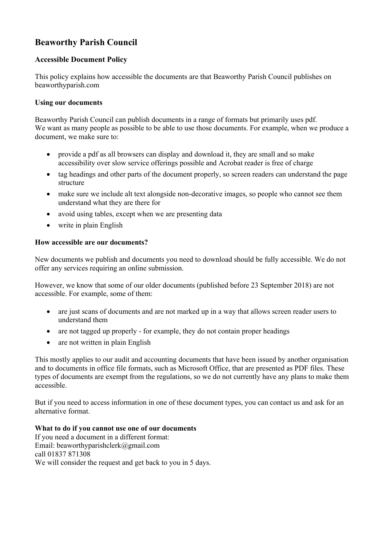# **Beaworthy Parish Council**

# **Accessible Document Policy**

This policy explains how accessible the documents are that Beaworthy Parish Council publishes on beaworthyparish.com

#### **Using our documents**

Beaworthy Parish Council can publish documents in a range of formats but primarily uses pdf. We want as many people as possible to be able to use those documents. For example, when we produce a document, we make sure to:

- provide a pdf as all browsers can display and download it, they are small and so make accessibility over slow service offerings possible and Acrobat reader is free of charge
- tag headings and other parts of the document properly, so screen readers can understand the page structure
- make sure we include alt text alongside non-decorative images, so people who cannot see them understand what they are there for
- avoid using tables, except when we are presenting data
- write in plain English

#### **How accessible are our documents?**

New documents we publish and documents you need to download should be fully accessible. We do not offer any services requiring an online submission.

However, we know that some of our older documents (published before 23 September 2018) are not accessible. For example, some of them:

- are just scans of documents and are not marked up in a way that allows screen reader users to understand them
- are not tagged up properly for example, they do not contain proper headings
- are not written in plain English

This mostly applies to our audit and accounting documents that have been issued by another organisation and to documents in office file formats, such as Microsoft Office, that are presented as PDF files. These types of documents are exempt from the regulations, so we do not currently have any plans to make them accessible.

But if you need to access information in one of these document types, you can contact us and ask for an alternative format.

#### **What to do if you cannot use one of our documents**

If you need a document in a different format: Email: beaworthyparishclerk@gmail.com call 01837 871308 We will consider the request and get back to you in 5 days.